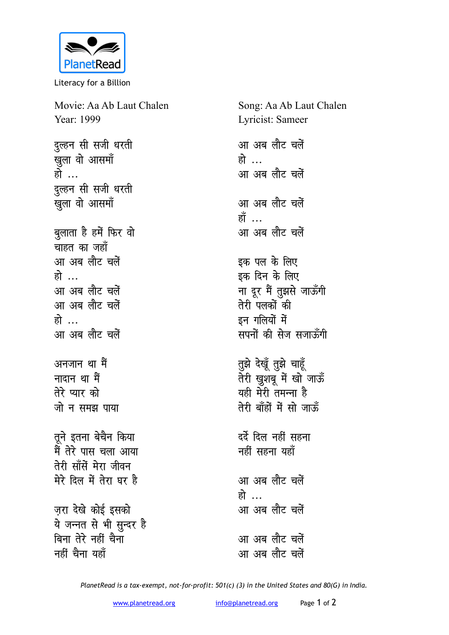

Literacy for a Billion

Movie: Aa Ab Laut Chalen Year: 1999 दल्हन सी सजी धरती <u>ख</u>ुला वो आसमाँ हो ... दुल्हन सी सजी धरती **खुला वो आसमॉ** बुलाता है हमें फिर वो <del>्</del><br>चाहत का जहाँ <u>आ अब लौट चलें</u> हो … <u>आ अब लौट चलें</u> <u>आ अब लौट चलें</u> **हो** <u>आ अब लौट चलें</u> अनजान था मैं **मादान था** मैं तेरे प्यार को जो न समझ पाया तूने इतना बेचैन किया मैं तेरे पास चला आया तेरी साँसें मेरा जीवन मेरे दिल में तेरा घर है जरा देखे कोई इसक<del>ो</del> ये जन्नत से भी सुन्दर है <u>बिना तेरे नहीं चैना</u> <u>नहीं</u> चैना यहाँ

Song: Aa Ab Laut Chalen Lyricist: Sameer <u>आ अब लौट चलें</u> हो … <u>आ अब लौट चलें</u> आ अब लौट चलें **हाँ** ... <u>आ अब लौट चलें</u> इक पल के लिए इक दिन के लिए **ना दूर मैं तुझसे जाऊँगी rsjh iydksa dh** इन गलियों में सपनों की सेज सजाऊँगी **तुझे देखूँ तुझे चाहूँ** जेंरी खुशबू में खो<sup>ं</sup>जाऊँ यही मेरी तमन्ना है **rsjh ck¡gksa esa lks tkÅ¡** दर्दे दिल नहीं सहना सहीं सहना यहाँ <u>आ अब लौट चलें</u> हो … आ अब लौट चलें <u>आ अब लौट चलें</u> <u>आ अब लौट चलें</u>

*PlanetRead is a tax-exempt, not-for-profit: 501(c) (3) in the United States and 80(G) in India.*